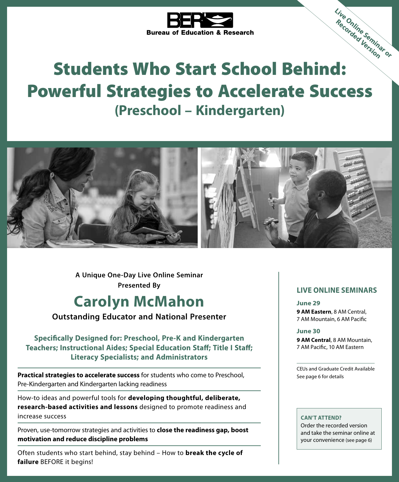

# Bureau of Education & nesses.<br>
Students Who Start School Behind: Powerful Strategies to Accelerate Success **(Preschool – Kindergarten)**



**A Unique One-Day Live Online Seminar Presented By**

# **Carolyn McMahon**

**Outstanding Educator and National Presenter**

**Specifically Designed for: Preschool, Pre-K and Kindergarten Teachers; Instructional Aides; Special Education Staff; Title I Staff; Literacy Specialists; and Administrators**

**Practical strategies to accelerate success** for students who come to Preschool, Pre-Kindergarten and Kindergarten lacking readiness

How-to ideas and powerful tools for **developing thoughtful, deliberate, research-based activities and lessons** designed to promote readiness and increase success

Proven, use-tomorrow strategies and activities to **close the readiness gap, boost motivation and reduce discipline problems**

Often students who start behind, stay behind – How to **break the cycle of failure** BEFORE it begins!

### **LIVE ONLINE SEMINARS**

**Live Online Seminar or Recorded Version**

#### **June 29**

**9 AM Eastern**, 8 AM Central, 7 AM Mountain, 6 AM Pacific

#### **June 30**

**9 AM Central**, 8 AM Mountain, 7 AM Pacific, 10 AM Eastern

CEUs and Graduate Credit Available See page 6 for details

#### **CAN'T ATTEND?**

Order the recorded version and take the seminar online at your convenience (see page 6)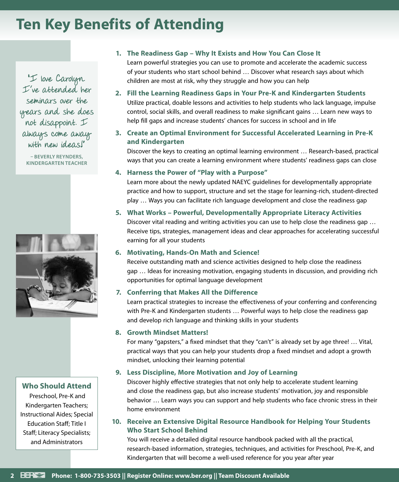# **Ten Key Benefits of Attending**

"I love Carolyn. I've attended her seminars over the years and she does not disappoint. I always come away with new ideas!"

**– BEVERLY REYNDERS, KINDERGARTEN TEACHER**



### **Who Should Attend**

 Preschool, Pre-K and Kindergarten Teachers; Instructional Aides; Special Education Staff; Title I Staff; Literacy Specialists; and Administrators

### **1. The Readiness Gap – Why It Exists and How You Can Close It**

Learn powerful strategies you can use to promote and accelerate the academic success of your students who start school behind … Discover what research says about which children are most at risk, why they struggle and how you can help

- **2. Fill the Learning Readiness Gaps in Your Pre-K and Kindergarten Students** Utilize practical, doable lessons and activities to help students who lack language, impulse control, social skills, and overall readiness to make significant gains … Learn new ways to help fill gaps and increase students' chances for success in school and in life
- **3. Create an Optimal Environment for Successful Accelerated Learning in Pre-K and Kindergarten**

Discover the keys to creating an optimal learning environment … Research-based, practical ways that you can create a learning environment where students' readiness gaps can close

#### **4. Harness the Power of "Play with a Purpose"**

Learn more about the newly updated NAEYC guidelines for developmentally appropriate practice and how to support, structure and set the stage for learning-rich, student-directed play … Ways you can facilitate rich language development and close the readiness gap

### **5. What Works – Powerful, Developmentally Appropriate Literacy Activities**

Discover vital reading and writing activities you can use to help close the readiness gap … Receive tips, strategies, management ideas and clear approaches for accelerating successful earning for all your students

### **6. Motivating, Hands-On Math and Science!**

Receive outstanding math and science activities designed to help close the readiness gap … Ideas for increasing motivation, engaging students in discussion, and providing rich opportunities for optimal language development

### **7. Conferring that Makes All the Difference**

Learn practical strategies to increase the effectiveness of your conferring and conferencing with Pre-K and Kindergarten students … Powerful ways to help close the readiness gap and develop rich language and thinking skills in your students

#### **8. Growth Mindset Matters!**

For many "gapsters," a fixed mindset that they "can't" is already set by age three! … Vital, practical ways that you can help your students drop a fixed mindset and adopt a growth mindset, unlocking their learning potential

### **9. Less Discipline, More Motivation and Joy of Learning**

Discover highly effective strategies that not only help to accelerate student learning and close the readiness gap, but also increase students' motivation, joy and responsible behavior … Learn ways you can support and help students who face chronic stress in their home environment

**10. Receive an Extensive Digital Resource Handbook for Helping Your Students Who Start School Behind**

You will receive a detailed digital resource handbook packed with all the practical, research-based information, strategies, techniques, and activities for Preschool, Pre-K, and Kindergarten that will become a well-used reference for you year after year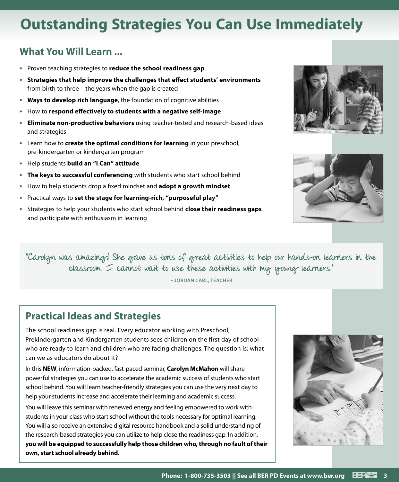# **Outstanding Strategies You Can Use Immediately**

# **What You Will Learn ...**

- **•** Proven teaching strategies to **reduce the school readiness gap**
- **• Strategies that help improve the challenges that effect students' environments** from birth to three – the years when the gap is created
- **• Ways to develop rich language**, the foundation of cognitive abilities
- **•** How to **respond effectively to students with a negative self-image**
- **• Eliminate non-productive behaviors** using teacher-tested and research-based ideas and strategies
- **•** Learn how to **create the optimal conditions for learning** in your preschool, pre-kindergarten or kindergarten program
- **•** Help students **build an "I Can" attitude**
- **• The keys to successful conferencing** with students who start school behind
- **•** How to help students drop a fixed mindset and **adopt a growth mindset**
- **•** Practical ways to **set the stage for learning-rich, "purposeful play"**
- **•** Strategies to help your students who start school behind **close their readiness gaps**  and participate with enthusiasm in learning





"Carolyn was amazingt She gave us tons of great activities to help our hands-on learners in the classroom. I cannot wait to use these activities with my young learners."

**– JORDAN CARL, TEACHER**

## **Practical Ideas and Strategies**

The school readiness gap is real. Every educator working with Preschool, Prekindergarten and Kindergarten students sees children on the first day of school who are ready to learn and children who are facing challenges. The question is: what can we as educators do about it?

In this **NEW**, information-packed, fast-paced seminar, **Carolyn McMahon** will share powerful strategies you can use to accelerate the academic success of students who start school behind. You will learn teacher-friendly strategies you can use the very next day to help your students increase and accelerate their learning and academic success.

You will leave this seminar with renewed energy and feeling empowered to work with students in your class who start school without the tools necessary for optimal learning. You will also receive an extensive digital resource handbook and a solid understanding of the research-based strategies you can utilize to help close the readiness gap. In addition, **you will be equipped to successfully help those children who, through no fault of their own, start school already behind**.

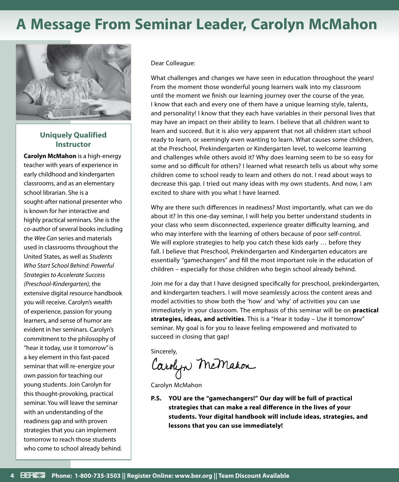# **A Message From Seminar Leader, Carolyn McMahon**



### **Uniquely Qualified Instructor**

**Carolyn McMahon** is a high-energy teacher with years of experience in early childhood and kindergarten classrooms, and as an elementary school librarian. She is a sought-after national presenter who is known for her interactive and highly practical seminars. She is the co-author of several books including the *Wee Can* series and materials used in classrooms throughout the United States, as well as *Students Who Start School Behind: Powerful Strategies to Accelerate Success (Preschool-Kindergarten),* the extensive digital resource handbook you will receive. Carolyn's wealth of experience, passion for young learners, and sense of humor are evident in her seminars. Carolyn's commitment to the philosophy of "hear it today, use it tomorrow" is a key element in this fast-paced seminar that will re-energize your own passion for teaching our young students. Join Carolyn for this thought-provoking, practical seminar. You will leave the seminar with an understanding of the readiness gap and with proven strategies that you can implement tomorrow to reach those students who come to school already behind.

Dear Colleague:

What challenges and changes we have seen in education throughout the years! From the moment those wonderful young learners walk into my classroom until the moment we finish our learning journey over the course of the year, I know that each and every one of them have a unique learning style, talents, and personality! I know that they each have variables in their personal lives that may have an impact on their ability to learn. I believe that all children want to learn and succeed. But it is also very apparent that not all children start school ready to learn, or seemingly even wanting to learn. What causes some children, at the Preschool, Prekindergarten or Kindergarten level, to welcome learning and challenges while others avoid it? Why does learning seem to be so easy for some and so difficult for others? I learned what research tells us about why some children come to school ready to learn and others do not. I read about ways to decrease this gap. I tried out many ideas with my own students. And now, I am excited to share with you what I have learned.

Why are there such differences in readiness? Most importantly, what can we do about it? In this one-day seminar, I will help you better understand students in your class who seem disconnected, experience greater difficulty learning, and who may interfere with the learning of others because of poor self-control. We will explore strategies to help you catch these kids early ... before they fall. I believe that Preschool, Prekindergarten and Kindergarten educators are essentially "gamechangers" and fill the most important role in the education of children – especially for those children who begin school already behind.

Join me for a day that I have designed specifically for preschool, prekindergarten, and kindergarten teachers. I will move seamlessly across the content areas and model activities to show both the 'how' and 'why' of activities you can use immediately in your classroom. The emphasis of this seminar will be on **practical strategies, ideas, and activities**. This is a "Hear it today – Use it tomorrow" seminar. My goal is for you to leave feeling empowered and motivated to succeed in closing that gap!

Sincerely,

Carolyn McMahon

Carolyn McMahon

**P.S. YOU are the "gamechangers!" Our day will be full of practical strategies that can make a real difference in the lives of your students. Your digital handbook will include ideas, strategies, and lessons that you can use immediately!**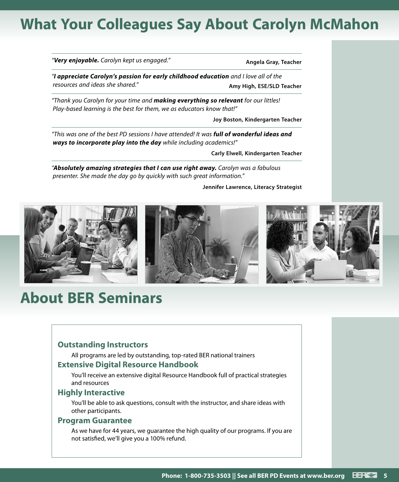# **What Your Colleagues Say About Carolyn McMahon**

|  |  |  |  | " <b>Very enjoyable.</b> Carolyn kept us engaged." |  |
|--|--|--|--|----------------------------------------------------|--|
|  |  |  |  |                                                    |  |

*"Very enjoyable. Carolyn kept us engaged."* **Angela Gray, Teacher**

*"I appreciate Carolyn's passion for early childhood education and I love all of the resources and ideas she shared."* **Amy High, ESE/SLD Teacher** 

*"Thank you Carolyn for your time and making everything so relevant for our littles! Play-based learning is the best for them, we as educators know that!"*

**Joy Boston, Kindergarten Teacher**

*"This was one of the best PD sessions I have attended! It was full of wonderful ideas and ways to incorporate play into the day while including academics!"*

**Carly Elwell, Kindergarten Teacher**

*"Absolutely amazing strategies that I can use right away. Carolyn was a fabulous presenter. She made the day go by quickly with such great information."*

**Jennifer Lawrence, Literacy Strategist**



# **About BER Seminars**

### **Outstanding Instructors**

All programs are led by outstanding, top-rated BER national trainers

### **Extensive Digital Resource Handbook**

You'll receive an extensive digital Resource Handbook full of practical strategies and resources

### **Highly Interactive**

You'll be able to ask questions, consult with the instructor, and share ideas with other participants.

### **Program Guarantee**

As we have for 44 years, we guarantee the high quality of our programs. If you are not satisfied, we'll give you a 100% refund.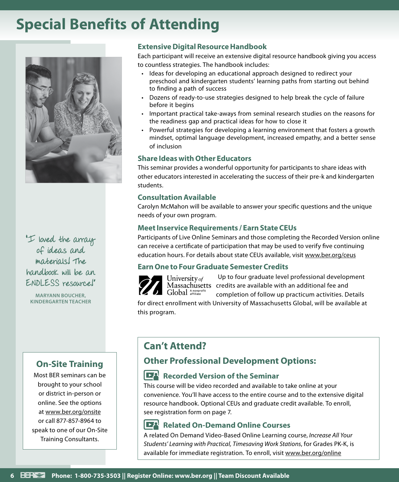# **Special Benefits of Attending**



"I loved the array of ideas and materials! The handbook will be an ENDLESS resource!"

**MARYANN BOUCHER, KINDERGARTEN TEACHER**

### **On-Site Training**

Most BER seminars can be brought to your school or district in-person or online. See the options at www.ber.org/onsite or call 877-857-8964 to speak to one of our On-Site Training Consultants.

### **Extensive Digital Resource Handbook**

Each participant will receive an extensive digital resource handbook giving you access to countless strategies. The handbook includes:

- Ideas for developing an educational approach designed to redirect your preschool and kindergarten students' learning paths from starting out behind to finding a path of success
- Dozens of ready-to-use strategies designed to help break the cycle of failure before it begins
- Important practical take-aways from seminal research studies on the reasons for the readiness gap and practical ideas for how to close it
- Powerful strategies for developing a learning environment that fosters a growth mindset, optimal language development, increased empathy, and a better sense of inclusion

### **Share Ideas with Other Educators**

This seminar provides a wonderful opportunity for participants to share ideas with other educators interested in accelerating the success of their pre-k and kindergarten students.

### **Consultation Available**

Carolyn McMahon will be available to answer your specific questions and the unique needs of your own program.

### **Meet Inservice Requirements / Earn State CEUs**

Participants of Live Online Seminars and those completing the Recorded Version online can receive a certificate of participation that may be used to verify five continuing education hours. For details about state CEUs available, visit www.ber.org/ceus

### **Earn One to Four Graduate Semester Credits**



Up to four graduate level professional development Massachusetts credits are available with an additional fee and completion of follow up practicum activities. Details

for direct enrollment with University of Massachusetts Global, will be available at this program.

# **Can't Attend?**

### **Other Professional Development Options:**

### **Recorded Version of the Seminar**

This course will be video recorded and available to take online at your convenience. You'll have access to the entire course and to the extensive digital resource handbook. Optional CEUs and graduate credit available. To enroll, see registration form on page 7.

### **Related On-Demand Online Courses**

A related On Demand Video-Based Online Learning course, *Increase All Your Students' Learning with Practical, Timesaving Work Stations*, for Grades PK-K, is available for immediate registration. To enroll, visit www.ber.org/online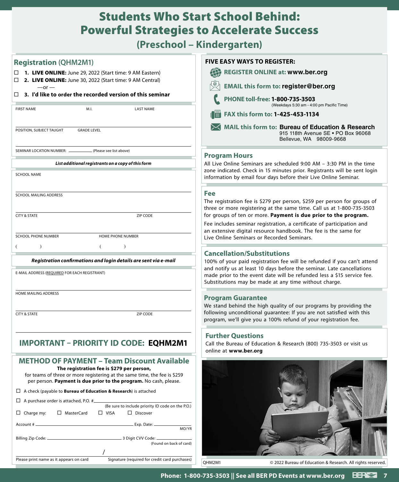# Students Who Start School Behind: Powerful Strategies to Accelerate Success

**(Preschool – Kindergarten)**

| <b>Registration (QHM2M1)</b>                                                                                                                                                                | <b>FIVE EASY WAYS TO REGISTER:</b>                                                                                                                                                                                   |  |  |  |  |
|---------------------------------------------------------------------------------------------------------------------------------------------------------------------------------------------|----------------------------------------------------------------------------------------------------------------------------------------------------------------------------------------------------------------------|--|--|--|--|
| 1. LIVE ONLINE: June 29, 2022 (Start time: 9 AM Eastern)                                                                                                                                    | \$<br><b>REGISTER ONLINE at: www.ber.org</b>                                                                                                                                                                         |  |  |  |  |
| 2. LIVE ONLINE: June 30, 2022 (Start time: 9 AM Central)<br>$-$ or $-$                                                                                                                      | <b>EMAIL this form to: register@ber.org</b>                                                                                                                                                                          |  |  |  |  |
| 3. I'd like to order the recorded version of this seminar<br>□                                                                                                                              | PHONE toll-free: 1-800-735-3503                                                                                                                                                                                      |  |  |  |  |
| <b>FIRST NAME</b><br>M.I.<br><b>LAST NAME</b>                                                                                                                                               | (Weekdays 5:30 am - 4:00 pm Pacific Time)<br>FAX this form to: 1-425-453-1134<br>$\mathbb{H}$                                                                                                                        |  |  |  |  |
|                                                                                                                                                                                             |                                                                                                                                                                                                                      |  |  |  |  |
| POSITION, SUBJECT TAUGHT<br><b>GRADE LEVEL</b>                                                                                                                                              | MAIL this form to: Bureau of Education & Research<br>915 118th Avenue SE . PO Box 96068<br>Bellevue, WA 98009-9668                                                                                                   |  |  |  |  |
| SEMINAR LOCATION NUMBER: _<br>(Please see list above)                                                                                                                                       | <b>Program Hours</b>                                                                                                                                                                                                 |  |  |  |  |
| List additional registrants on a copy of this form                                                                                                                                          | All Live Online Seminars are scheduled 9:00 AM - 3:30 PM in the time                                                                                                                                                 |  |  |  |  |
| <b>SCHOOL NAME</b>                                                                                                                                                                          | zone indicated. Check in 15 minutes prior. Registrants will be sent login<br>information by email four days before their Live Online Seminar.                                                                        |  |  |  |  |
| <b>SCHOOL MAILING ADDRESS</b>                                                                                                                                                               | <b>Fee</b>                                                                                                                                                                                                           |  |  |  |  |
| ZIP CODE<br><b>CITY &amp; STATE</b>                                                                                                                                                         | The registration fee is \$279 per person, \$259 per person for groups of<br>three or more registering at the same time. Call us at 1-800-735-3503<br>for groups of ten or more. Payment is due prior to the program. |  |  |  |  |
|                                                                                                                                                                                             | Fee includes seminar registration, a certificate of participation and                                                                                                                                                |  |  |  |  |
| SCHOOL PHONE NUMBER<br>HOME PHONE NUMBER                                                                                                                                                    | an extensive digital resource handbook. The fee is the same for<br>Live Online Seminars or Recorded Seminars.                                                                                                        |  |  |  |  |
|                                                                                                                                                                                             |                                                                                                                                                                                                                      |  |  |  |  |
| Registration confirmations and login details are sent via e-mail                                                                                                                            | <b>Cancellation/Substitutions</b><br>100% of your paid registration fee will be refunded if you can't attend                                                                                                         |  |  |  |  |
| E-MAIL ADDRESS (REQUIRED FOR EACH REGISTRANT)                                                                                                                                               | and notify us at least 10 days before the seminar. Late cancellations<br>made prior to the event date will be refunded less a \$15 service fee.<br>Substitutions may be made at any time without charge.             |  |  |  |  |
| HOME MAILING ADDRESS                                                                                                                                                                        | <b>Program Guarantee</b>                                                                                                                                                                                             |  |  |  |  |
|                                                                                                                                                                                             | We stand behind the high quality of our programs by providing the                                                                                                                                                    |  |  |  |  |
| <b>CITY &amp; STATE</b><br>ZIP CODE                                                                                                                                                         | following unconditional guarantee: If you are not satisfied with this<br>program, we'll give you a 100% refund of your registration fee.                                                                             |  |  |  |  |
|                                                                                                                                                                                             | <b>Further Questions</b>                                                                                                                                                                                             |  |  |  |  |
| <b>IMPORTANT - PRIORITY ID CODE: EQHM2M1</b>                                                                                                                                                | Call the Bureau of Education & Research (800) 735-3503 or visit us<br>online at www.ber.org                                                                                                                          |  |  |  |  |
| <b>METHOD OF PAYMENT - Team Discount Available</b>                                                                                                                                          |                                                                                                                                                                                                                      |  |  |  |  |
| The registration fee is \$279 per person,<br>for teams of three or more registering at the same time, the fee is \$259<br>per person. Payment is due prior to the program. No cash, please. |                                                                                                                                                                                                                      |  |  |  |  |
| $\Box$ A check (payable to <b>Bureau of Education &amp; Research</b> ) is attached                                                                                                          |                                                                                                                                                                                                                      |  |  |  |  |
| $\Box$ A purchase order is attached, P.O. # $\Box$<br>(Be sure to include priority ID code on the P.O.)                                                                                     |                                                                                                                                                                                                                      |  |  |  |  |
| □ MasterCard<br>$\Box$ VISA<br>$\Box$ Discover<br>$\Box$ Charge my:                                                                                                                         |                                                                                                                                                                                                                      |  |  |  |  |
| Account #<br>Exp. Date: __<br>MO/YR                                                                                                                                                         |                                                                                                                                                                                                                      |  |  |  |  |
|                                                                                                                                                                                             |                                                                                                                                                                                                                      |  |  |  |  |
| (Found on back of card)                                                                                                                                                                     |                                                                                                                                                                                                                      |  |  |  |  |
| Signature (required for credit card purchases)<br>Please print name as it appears on card                                                                                                   | QHM2M1<br>© 2022 Bureau of Education & Research. All rights reserved                                                                                                                                                 |  |  |  |  |
|                                                                                                                                                                                             |                                                                                                                                                                                                                      |  |  |  |  |